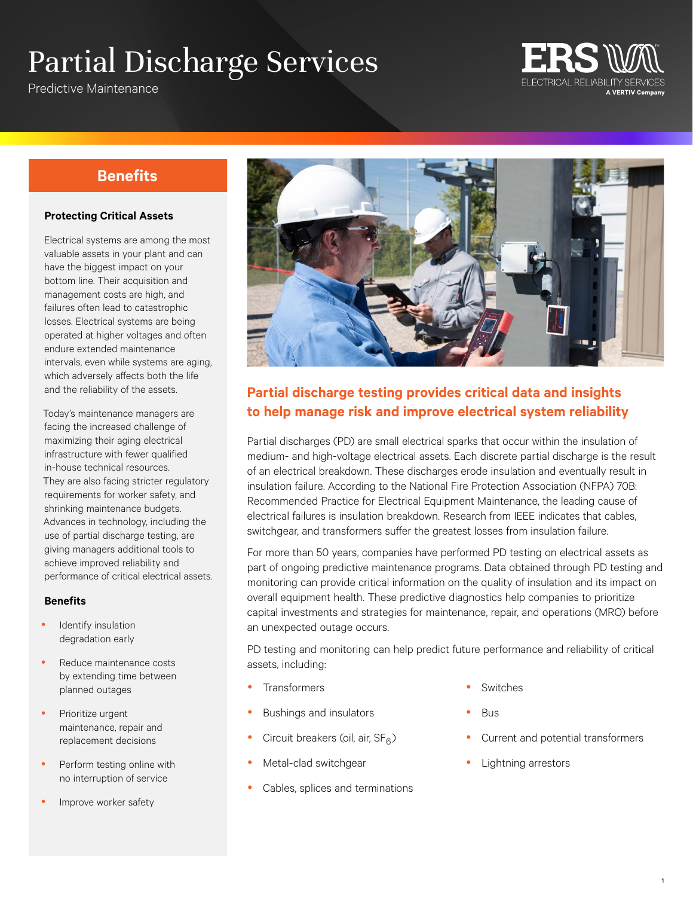# Partial Discharge Services

Predictive Maintenance



## **Benefits**

#### **Protecting Critical Assets**

Electrical systems are among the most valuable assets in your plant and can have the biggest impact on your bottom line. Their acquisition and management costs are high, and failures often lead to catastrophic losses. Electrical systems are being operated at higher voltages and often endure extended maintenance intervals, even while systems are aging, which adversely affects both the life and the reliability of the assets.

Today's maintenance managers are facing the increased challenge of maximizing their aging electrical infrastructure with fewer qualified in-house technical resources. They are also facing stricter regulatory requirements for worker safety, and shrinking maintenance budgets. Advances in technology, including the use of partial discharge testing, are giving managers additional tools to achieve improved reliability and performance of critical electrical assets.

#### **Benefits**

- Identify insulation degradation early
- Reduce maintenance costs by extending time between planned outages
- Prioritize urgent maintenance, repair and replacement decisions
- Perform testing online with no interruption of service
- Improve worker safety



## **Partial discharge testing provides critical data and insights to help manage risk and improve electrical system reliability**

Partial discharges (PD) are small electrical sparks that occur within the insulation of medium- and high-voltage electrical assets. Each discrete partial discharge is the result of an electrical breakdown. These discharges erode insulation and eventually result in insulation failure. According to the National Fire Protection Association (NFPA) 70B: Recommended Practice for Electrical Equipment Maintenance, the leading cause of electrical failures is insulation breakdown. Research from IEEE indicates that cables, switchgear, and transformers suffer the greatest losses from insulation failure.

For more than 50 years, companies have performed PD testing on electrical assets as part of ongoing predictive maintenance programs. Data obtained through PD testing and monitoring can provide critical information on the quality of insulation and its impact on overall equipment health. These predictive diagnostics help companies to prioritize capital investments and strategies for maintenance, repair, and operations (MRO) before an unexpected outage occurs.

PD testing and monitoring can help predict future performance and reliability of critical assets, including:

- **Transformers**
- Bushings and insulators
- Circuit breakers (oil, air,  $SF<sub>6</sub>$ )
- Metal-clad switchgear
- Cables, splices and terminations
- Switches
- **Bus**
- Current and potential transformers
- Lightning arrestors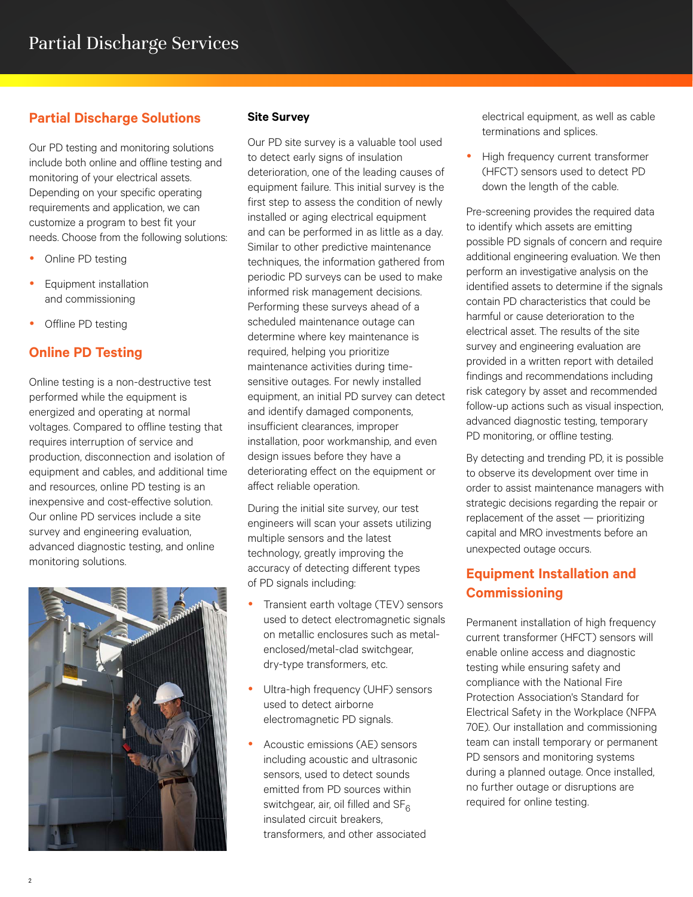### **Partial Discharge Solutions**

Our PD testing and monitoring solutions include both online and offline testing and monitoring of your electrical assets. Depending on your specific operating requirements and application, we can customize a program to best fit your needs. Choose from the following solutions:

- Online PD testing
- Equipment installation and commissioning
- Offline PD testing

### **Online PD Testing**

Online testing is a non-destructive test performed while the equipment is energized and operating at normal voltages. Compared to offline testing that requires interruption of service and production, disconnection and isolation of equipment and cables, and additional time and resources, online PD testing is an inexpensive and cost-effective solution. Our online PD services include a site survey and engineering evaluation, advanced diagnostic testing, and online monitoring solutions.



#### **Site Survey**

Our PD site survey is a valuable tool used to detect early signs of insulation deterioration, one of the leading causes of equipment failure. This initial survey is the first step to assess the condition of newly installed or aging electrical equipment and can be performed in as little as a day. Similar to other predictive maintenance techniques, the information gathered from periodic PD surveys can be used to make informed risk management decisions. Performing these surveys ahead of a scheduled maintenance outage can determine where key maintenance is required, helping you prioritize maintenance activities during timesensitive outages. For newly installed equipment, an initial PD survey can detect and identify damaged components, insufficient clearances, improper installation, poor workmanship, and even design issues before they have a deteriorating effect on the equipment or affect reliable operation.

During the initial site survey, our test engineers will scan your assets utilizing multiple sensors and the latest technology, greatly improving the accuracy of detecting different types of PD signals including:

- Transient earth voltage (TEV) sensors used to detect electromagnetic signals on metallic enclosures such as metalenclosed/metal-clad switchgear, dry-type transformers, etc.
- Ultra-high frequency (UHF) sensors used to detect airborne electromagnetic PD signals.
- Acoustic emissions (AE) sensors including acoustic and ultrasonic sensors, used to detect sounds emitted from PD sources within switchgear, air, oil filled and  $SF<sub>6</sub>$ insulated circuit breakers, transformers, and other associated

electrical equipment, as well as cable terminations and splices.

• High frequency current transformer (HFCT) sensors used to detect PD down the length of the cable.

Pre-screening provides the required data to identify which assets are emitting possible PD signals of concern and require additional engineering evaluation. We then perform an investigative analysis on the identified assets to determine if the signals contain PD characteristics that could be harmful or cause deterioration to the electrical asset. The results of the site survey and engineering evaluation are provided in a written report with detailed findings and recommendations including risk category by asset and recommended follow-up actions such as visual inspection, advanced diagnostic testing, temporary PD monitoring, or offline testing.

By detecting and trending PD, it is possible to observe its development over time in order to assist maintenance managers with strategic decisions regarding the repair or replacement of the asset — prioritizing capital and MRO investments before an unexpected outage occurs.

## **Equipment Installation and Commissioning**

Permanent installation of high frequency current transformer (HFCT) sensors will enable online access and diagnostic testing while ensuring safety and compliance with the National Fire Protection Association's Standard for Electrical Safety in the Workplace (NFPA 70E). Our installation and commissioning team can install temporary or permanent PD sensors and monitoring systems during a planned outage. Once installed, no further outage or disruptions are required for online testing.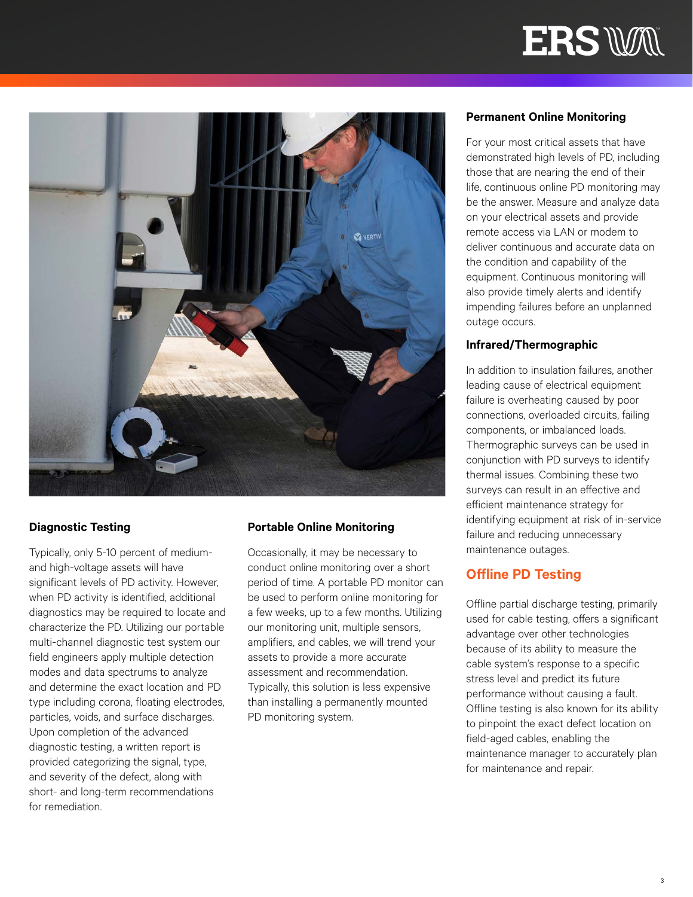



#### **Diagnostic Testing**

Typically, only 5-10 percent of mediumand high-voltage assets will have significant levels of PD activity. However, when PD activity is identified, additional diagnostics may be required to locate and characterize the PD. Utilizing our portable multi-channel diagnostic test system our field engineers apply multiple detection modes and data spectrums to analyze and determine the exact location and PD type including corona, floating electrodes, particles, voids, and surface discharges. Upon completion of the advanced diagnostic testing, a written report is provided categorizing the signal, type, and severity of the defect, along with short- and long-term recommendations for remediation.

#### **Portable Online Monitoring**

Occasionally, it may be necessary to conduct online monitoring over a short period of time. A portable PD monitor can be used to perform online monitoring for a few weeks, up to a few months. Utilizing our monitoring unit, multiple sensors, amplifiers, and cables, we will trend your assets to provide a more accurate assessment and recommendation. Typically, this solution is less expensive than installing a permanently mounted PD monitoring system.

#### **Permanent Online Monitoring**

For your most critical assets that have demonstrated high levels of PD, including those that are nearing the end of their life, continuous online PD monitoring may be the answer. Measure and analyze data on your electrical assets and provide remote access via LAN or modem to deliver continuous and accurate data on the condition and capability of the equipment. Continuous monitoring will also provide timely alerts and identify impending failures before an unplanned outage occurs.

#### **Infrared/Thermographic**

In addition to insulation failures, another leading cause of electrical equipment failure is overheating caused by poor connections, overloaded circuits, failing components, or imbalanced loads. Thermographic surveys can be used in conjunction with PD surveys to identify thermal issues. Combining these two surveys can result in an effective and efficient maintenance strategy for identifying equipment at risk of in-service failure and reducing unnecessary maintenance outages.

#### **Offline PD Testing**

Offline partial discharge testing, primarily used for cable testing, offers a significant advantage over other technologies because of its ability to measure the cable system's response to a specific stress level and predict its future performance without causing a fault. Offline testing is also known for its ability to pinpoint the exact defect location on field-aged cables, enabling the maintenance manager to accurately plan for maintenance and repair.